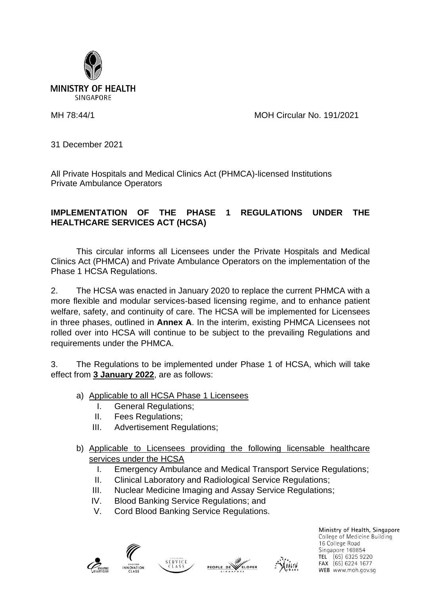

MH 78:44/1 MOH Circular No. 191/2021

31 December 2021

All Private Hospitals and Medical Clinics Act (PHMCA)-licensed Institutions Private Ambulance Operators

## **IMPLEMENTATION OF THE PHASE 1 REGULATIONS UNDER THE HEALTHCARE SERVICES ACT (HCSA)**

This circular informs all Licensees under the Private Hospitals and Medical Clinics Act (PHMCA) and Private Ambulance Operators on the implementation of the Phase 1 HCSA Regulations.

2. The HCSA was enacted in January 2020 to replace the current PHMCA with a more flexible and modular services-based licensing regime, and to enhance patient welfare, safety, and continuity of care. The HCSA will be implemented for Licensees in three phases, outlined in **Annex A**. In the interim, existing PHMCA Licensees not rolled over into HCSA will continue to be subject to the prevailing Regulations and requirements under the PHMCA.

3. The Regulations to be implemented under Phase 1 of HCSA, which will take effect from **3 January 2022**, are as follows:

- a) Applicable to all HCSA Phase 1 Licensees
	- I. General Regulations;
	- II. Fees Regulations;
	- III. Advertisement Regulations;
- b) Applicable to Licensees providing the following licensable healthcare services under the HCSA
	- I. Emergency Ambulance and Medical Transport Service Regulations;
	- II. Clinical Laboratory and Radiological Service Regulations;
	- III. Nuclear Medicine Imaging and Assay Service Regulations;
	- IV. Blood Banking Service Regulations; and
	- V. Cord Blood Banking Service Regulations.







Ministry of Health, Singapore College of Medicine Building 16 College Road Singapore 169854 TEL (65) 6325 9220 FAX (65) 6224 1677 WEB www.moh.gov.sg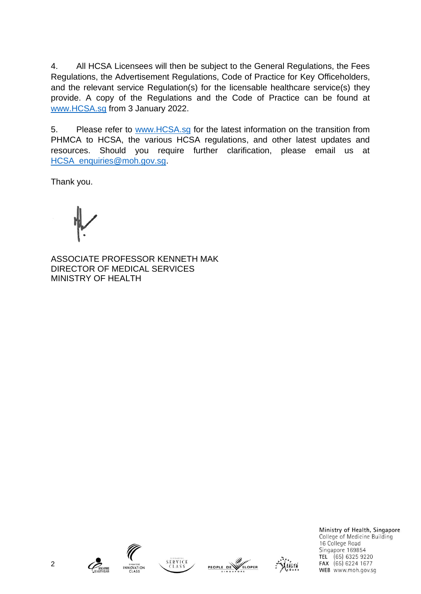4. All HCSA Licensees will then be subject to the General Regulations, the Fees Regulations, the Advertisement Regulations, Code of Practice for Key Officeholders, and the relevant service Regulation(s) for the licensable healthcare service(s) they provide. A copy of the Regulations and the Code of Practice can be found at [www.HCSA.sg](http://www.hcsa.sg/) from 3 January 2022.

5. Please refer to [www.HCSA.sg](http://www.hcsa.sg/) for the latest information on the transition from PHMCA to HCSA, the various HCSA regulations, and other latest updates and resources. Should you require further clarification, please email us at [HCSA\\_enquiries@moh.gov.sg.](mailto:HCSA_enquiries@moh.gov.sg)

Thank you.

ASSOCIATE PROFESSOR KENNETH MAK DIRECTOR OF MEDICAL SERVICES MINISTRY OF HEALTH











Ministry of Health, Singapore College of Medicine Building 16 College Road Singapore 169854 TEL (65) 6325 9220 FAX (65) 6224 1677 WEB www.moh.gov.sg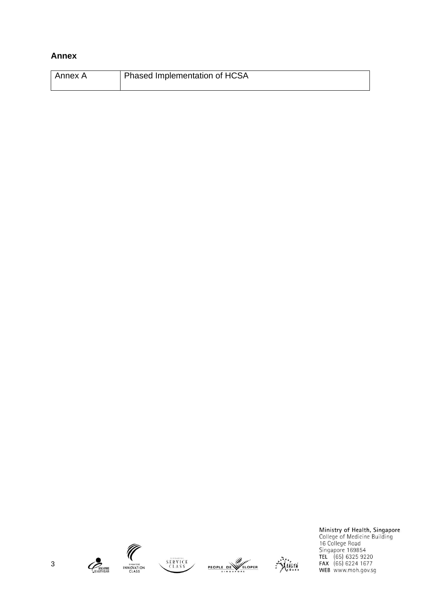## **Annex**

| l Annex A | <sup>1</sup> Phased Implementation of HCSA |
|-----------|--------------------------------------------|
|           |                                            |











Ministry of Health, Singapore<br>College of Medicine Building<br>16 College Road<br>Singapore 169854<br>TEL (65) 6325 9220<br>FAX (65) 6224 1677<br>WEB www.moh.gov.sg